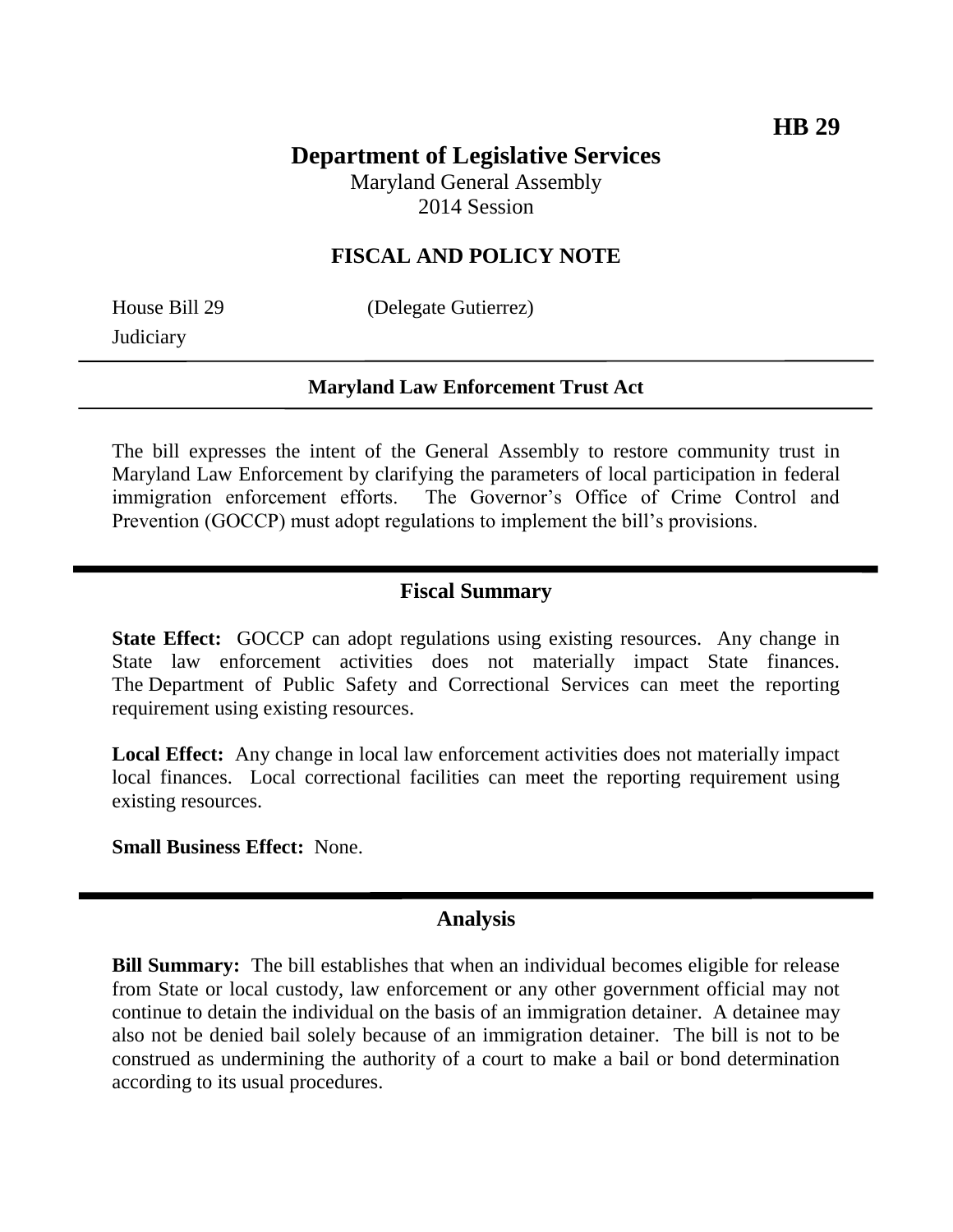# **Department of Legislative Services**

Maryland General Assembly 2014 Session

### **FISCAL AND POLICY NOTE**

**Judiciary** 

House Bill 29 (Delegate Gutierrez)

#### **Maryland Law Enforcement Trust Act**

The bill expresses the intent of the General Assembly to restore community trust in Maryland Law Enforcement by clarifying the parameters of local participation in federal immigration enforcement efforts. The Governor's Office of Crime Control and Prevention (GOCCP) must adopt regulations to implement the bill's provisions.

#### **Fiscal Summary**

**State Effect:** GOCCP can adopt regulations using existing resources. Any change in State law enforcement activities does not materially impact State finances. The Department of Public Safety and Correctional Services can meet the reporting requirement using existing resources.

**Local Effect:** Any change in local law enforcement activities does not materially impact local finances. Local correctional facilities can meet the reporting requirement using existing resources.

**Small Business Effect:** None.

#### **Analysis**

**Bill Summary:** The bill establishes that when an individual becomes eligible for release from State or local custody, law enforcement or any other government official may not continue to detain the individual on the basis of an immigration detainer. A detainee may also not be denied bail solely because of an immigration detainer. The bill is not to be construed as undermining the authority of a court to make a bail or bond determination according to its usual procedures.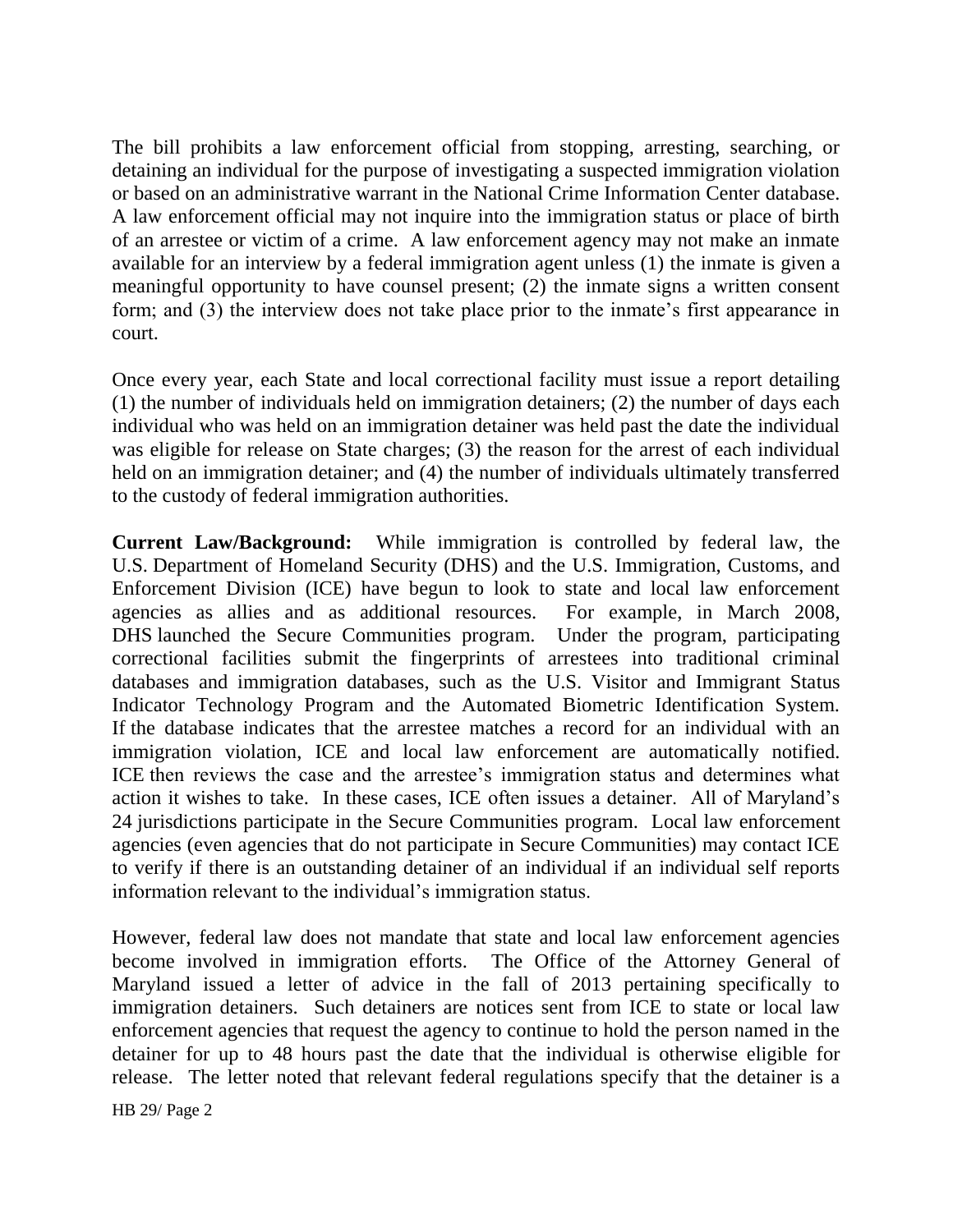The bill prohibits a law enforcement official from stopping, arresting, searching, or detaining an individual for the purpose of investigating a suspected immigration violation or based on an administrative warrant in the National Crime Information Center database. A law enforcement official may not inquire into the immigration status or place of birth of an arrestee or victim of a crime. A law enforcement agency may not make an inmate available for an interview by a federal immigration agent unless (1) the inmate is given a meaningful opportunity to have counsel present; (2) the inmate signs a written consent form; and (3) the interview does not take place prior to the inmate's first appearance in court.

Once every year, each State and local correctional facility must issue a report detailing (1) the number of individuals held on immigration detainers; (2) the number of days each individual who was held on an immigration detainer was held past the date the individual was eligible for release on State charges; (3) the reason for the arrest of each individual held on an immigration detainer; and (4) the number of individuals ultimately transferred to the custody of federal immigration authorities.

**Current Law/Background:** While immigration is controlled by federal law, the U.S. Department of Homeland Security (DHS) and the U.S. Immigration, Customs, and Enforcement Division (ICE) have begun to look to state and local law enforcement agencies as allies and as additional resources. For example, in March 2008, DHS launched the Secure Communities program. Under the program, participating correctional facilities submit the fingerprints of arrestees into traditional criminal databases and immigration databases, such as the U.S. Visitor and Immigrant Status Indicator Technology Program and the Automated Biometric Identification System. If the database indicates that the arrestee matches a record for an individual with an immigration violation, ICE and local law enforcement are automatically notified. ICE then reviews the case and the arrestee's immigration status and determines what action it wishes to take. In these cases, ICE often issues a detainer. All of Maryland's 24 jurisdictions participate in the Secure Communities program. Local law enforcement agencies (even agencies that do not participate in Secure Communities) may contact ICE to verify if there is an outstanding detainer of an individual if an individual self reports information relevant to the individual's immigration status.

However, federal law does not mandate that state and local law enforcement agencies become involved in immigration efforts. The Office of the Attorney General of Maryland issued a letter of advice in the fall of 2013 pertaining specifically to immigration detainers. Such detainers are notices sent from ICE to state or local law enforcement agencies that request the agency to continue to hold the person named in the detainer for up to 48 hours past the date that the individual is otherwise eligible for release. The letter noted that relevant federal regulations specify that the detainer is a

HB 29/ Page 2